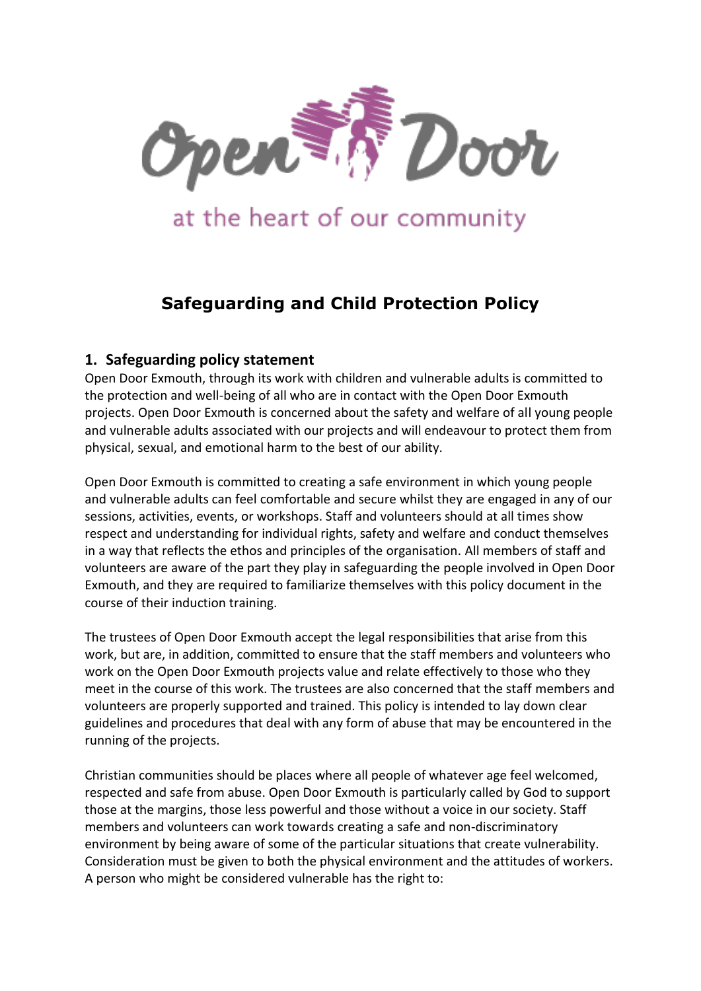

# at the heart of our community

## **Safeguarding and Child Protection Policy**

### **1. Safeguarding policy statement**

Open Door Exmouth, through its work with children and vulnerable adults is committed to the protection and well-being of all who are in contact with the Open Door Exmouth projects. Open Door Exmouth is concerned about the safety and welfare of all young people and vulnerable adults associated with our projects and will endeavour to protect them from physical, sexual, and emotional harm to the best of our ability.

Open Door Exmouth is committed to creating a safe environment in which young people and vulnerable adults can feel comfortable and secure whilst they are engaged in any of our sessions, activities, events, or workshops. Staff and volunteers should at all times show respect and understanding for individual rights, safety and welfare and conduct themselves in a way that reflects the ethos and principles of the organisation. All members of staff and volunteers are aware of the part they play in safeguarding the people involved in Open Door Exmouth, and they are required to familiarize themselves with this policy document in the course of their induction training.

The trustees of Open Door Exmouth accept the legal responsibilities that arise from this work, but are, in addition, committed to ensure that the staff members and volunteers who work on the Open Door Exmouth projects value and relate effectively to those who they meet in the course of this work. The trustees are also concerned that the staff members and volunteers are properly supported and trained. This policy is intended to lay down clear guidelines and procedures that deal with any form of abuse that may be encountered in the running of the projects.

Christian communities should be places where all people of whatever age feel welcomed, respected and safe from abuse. Open Door Exmouth is particularly called by God to support those at the margins, those less powerful and those without a voice in our society. Staff members and volunteers can work towards creating a safe and non-discriminatory environment by being aware of some of the particular situations that create vulnerability. Consideration must be given to both the physical environment and the attitudes of workers. A person who might be considered vulnerable has the right to: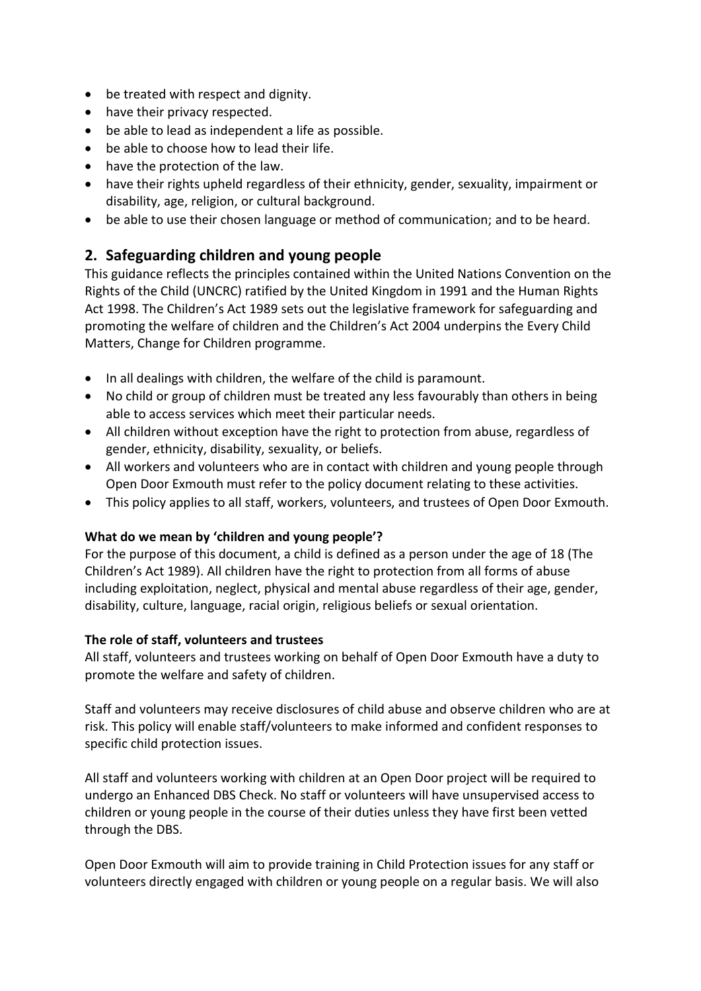- be treated with respect and dignity.
- have their privacy respected.
- be able to lead as independent a life as possible.
- be able to choose how to lead their life.
- have the protection of the law.
- have their rights upheld regardless of their ethnicity, gender, sexuality, impairment or disability, age, religion, or cultural background.
- be able to use their chosen language or method of communication; and to be heard.

## **2. Safeguarding children and young people**

This guidance reflects the principles contained within the United Nations Convention on the Rights of the Child (UNCRC) ratified by the United Kingdom in 1991 and the Human Rights Act 1998. The Children's Act 1989 sets out the legislative framework for safeguarding and promoting the welfare of children and the Children's Act 2004 underpins the Every Child Matters, Change for Children programme.

- In all dealings with children, the welfare of the child is paramount.
- No child or group of children must be treated any less favourably than others in being able to access services which meet their particular needs.
- All children without exception have the right to protection from abuse, regardless of gender, ethnicity, disability, sexuality, or beliefs.
- All workers and volunteers who are in contact with children and young people through Open Door Exmouth must refer to the policy document relating to these activities.
- This policy applies to all staff, workers, volunteers, and trustees of Open Door Exmouth.

#### **What do we mean by 'children and young people'?**

For the purpose of this document, a child is defined as a person under the age of 18 (The Children's Act 1989). All children have the right to protection from all forms of abuse including exploitation, neglect, physical and mental abuse regardless of their age, gender, disability, culture, language, racial origin, religious beliefs or sexual orientation.

#### **The role of staff, volunteers and trustees**

All staff, volunteers and trustees working on behalf of Open Door Exmouth have a duty to promote the welfare and safety of children.

Staff and volunteers may receive disclosures of child abuse and observe children who are at risk. This policy will enable staff/volunteers to make informed and confident responses to specific child protection issues.

All staff and volunteers working with children at an Open Door project will be required to undergo an Enhanced DBS Check. No staff or volunteers will have unsupervised access to children or young people in the course of their duties unless they have first been vetted through the DBS.

Open Door Exmouth will aim to provide training in Child Protection issues for any staff or volunteers directly engaged with children or young people on a regular basis. We will also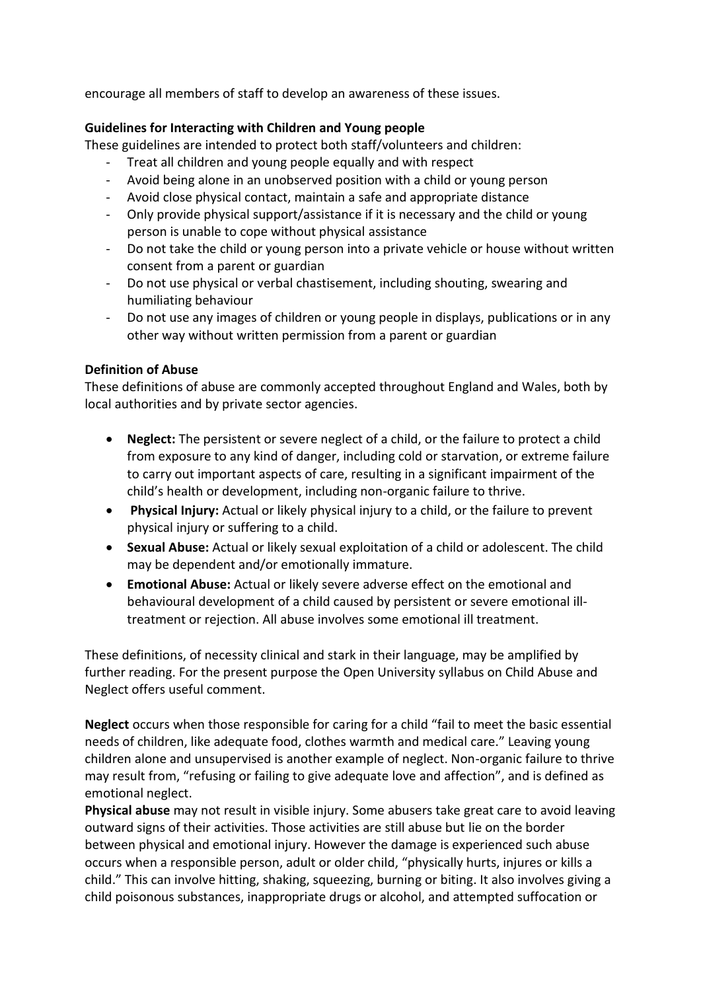encourage all members of staff to develop an awareness of these issues.

#### **Guidelines for Interacting with Children and Young people**

These guidelines are intended to protect both staff/volunteers and children:

- Treat all children and young people equally and with respect
- Avoid being alone in an unobserved position with a child or young person
- Avoid close physical contact, maintain a safe and appropriate distance
- Only provide physical support/assistance if it is necessary and the child or young person is unable to cope without physical assistance
- Do not take the child or young person into a private vehicle or house without written consent from a parent or guardian
- Do not use physical or verbal chastisement, including shouting, swearing and humiliating behaviour
- Do not use any images of children or young people in displays, publications or in any other way without written permission from a parent or guardian

#### **Definition of Abuse**

These definitions of abuse are commonly accepted throughout England and Wales, both by local authorities and by private sector agencies.

- **Neglect:** The persistent or severe neglect of a child, or the failure to protect a child from exposure to any kind of danger, including cold or starvation, or extreme failure to carry out important aspects of care, resulting in a significant impairment of the child's health or development, including non-organic failure to thrive.
- **Physical Injury:** Actual or likely physical injury to a child, or the failure to prevent physical injury or suffering to a child.
- **Sexual Abuse:** Actual or likely sexual exploitation of a child or adolescent. The child may be dependent and/or emotionally immature.
- **Emotional Abuse:** Actual or likely severe adverse effect on the emotional and behavioural development of a child caused by persistent or severe emotional illtreatment or rejection. All abuse involves some emotional ill treatment.

These definitions, of necessity clinical and stark in their language, may be amplified by further reading. For the present purpose the Open University syllabus on Child Abuse and Neglect offers useful comment.

**Neglect** occurs when those responsible for caring for a child "fail to meet the basic essential needs of children, like adequate food, clothes warmth and medical care." Leaving young children alone and unsupervised is another example of neglect. Non-organic failure to thrive may result from, "refusing or failing to give adequate love and affection", and is defined as emotional neglect.

**Physical abuse** may not result in visible injury. Some abusers take great care to avoid leaving outward signs of their activities. Those activities are still abuse but lie on the border between physical and emotional injury. However the damage is experienced such abuse occurs when a responsible person, adult or older child, "physically hurts, injures or kills a child." This can involve hitting, shaking, squeezing, burning or biting. It also involves giving a child poisonous substances, inappropriate drugs or alcohol, and attempted suffocation or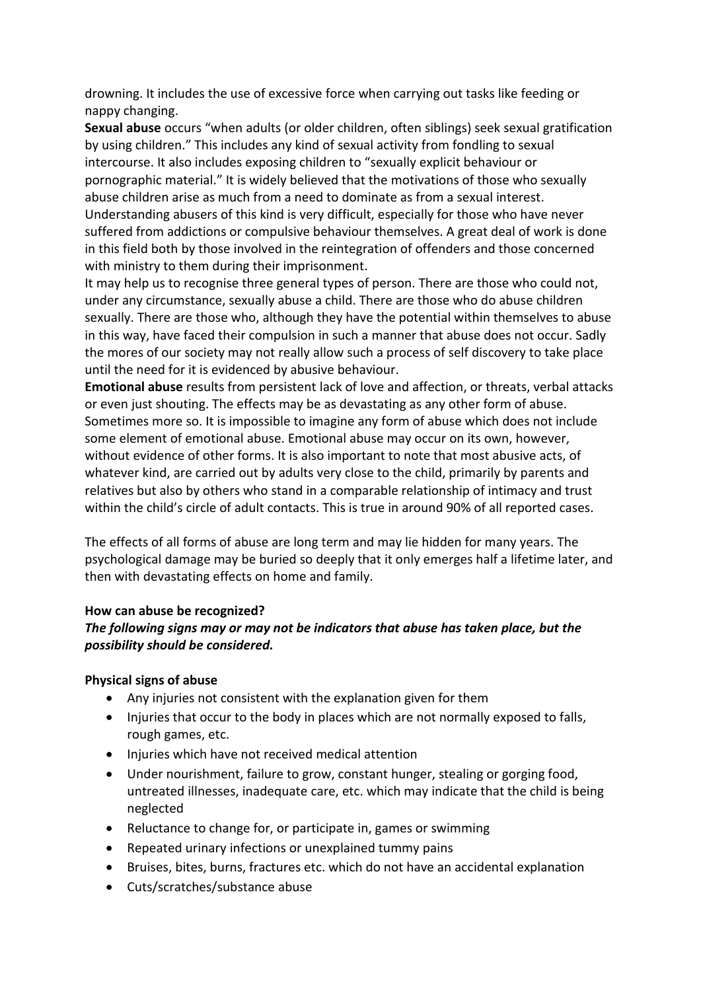drowning. It includes the use of excessive force when carrying out tasks like feeding or nappy changing.

**Sexual abuse** occurs "when adults (or older children, often siblings) seek sexual gratification by using children." This includes any kind of sexual activity from fondling to sexual intercourse. It also includes exposing children to "sexually explicit behaviour or pornographic material." It is widely believed that the motivations of those who sexually abuse children arise as much from a need to dominate as from a sexual interest. Understanding abusers of this kind is very difficult, especially for those who have never suffered from addictions or compulsive behaviour themselves. A great deal of work is done in this field both by those involved in the reintegration of offenders and those concerned with ministry to them during their imprisonment.

It may help us to recognise three general types of person. There are those who could not, under any circumstance, sexually abuse a child. There are those who do abuse children sexually. There are those who, although they have the potential within themselves to abuse in this way, have faced their compulsion in such a manner that abuse does not occur. Sadly the mores of our society may not really allow such a process of self discovery to take place until the need for it is evidenced by abusive behaviour.

**Emotional abuse** results from persistent lack of love and affection, or threats, verbal attacks or even just shouting. The effects may be as devastating as any other form of abuse. Sometimes more so. It is impossible to imagine any form of abuse which does not include some element of emotional abuse. Emotional abuse may occur on its own, however, without evidence of other forms. It is also important to note that most abusive acts, of whatever kind, are carried out by adults very close to the child, primarily by parents and relatives but also by others who stand in a comparable relationship of intimacy and trust within the child's circle of adult contacts. This is true in around 90% of all reported cases.

The effects of all forms of abuse are long term and may lie hidden for many years. The psychological damage may be buried so deeply that it only emerges half a lifetime later, and then with devastating effects on home and family.

#### **How can abuse be recognized?**

#### *The following signs may or may not be indicators that abuse has taken place, but the possibility should be considered.*

#### **Physical signs of abuse**

- Any injuries not consistent with the explanation given for them
- Injuries that occur to the body in places which are not normally exposed to falls, rough games, etc.
- Injuries which have not received medical attention
- Under nourishment, failure to grow, constant hunger, stealing or gorging food, untreated illnesses, inadequate care, etc. which may indicate that the child is being neglected
- Reluctance to change for, or participate in, games or swimming
- Repeated urinary infections or unexplained tummy pains
- Bruises, bites, burns, fractures etc. which do not have an accidental explanation
- Cuts/scratches/substance abuse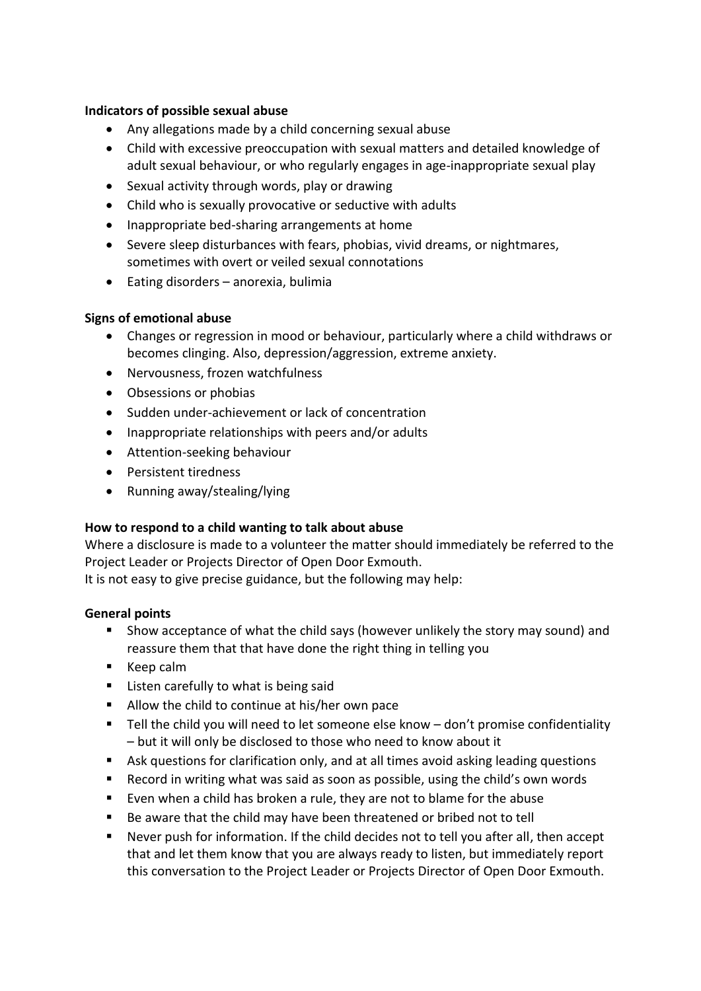#### **Indicators of possible sexual abuse**

- Any allegations made by a child concerning sexual abuse
- Child with excessive preoccupation with sexual matters and detailed knowledge of adult sexual behaviour, or who regularly engages in age-inappropriate sexual play
- Sexual activity through words, play or drawing
- Child who is sexually provocative or seductive with adults
- Inappropriate bed-sharing arrangements at home
- Severe sleep disturbances with fears, phobias, vivid dreams, or nightmares, sometimes with overt or veiled sexual connotations
- Eating disorders anorexia, bulimia

#### **Signs of emotional abuse**

- Changes or regression in mood or behaviour, particularly where a child withdraws or becomes clinging. Also, depression/aggression, extreme anxiety.
- Nervousness, frozen watchfulness
- Obsessions or phobias
- Sudden under-achievement or lack of concentration
- Inappropriate relationships with peers and/or adults
- Attention-seeking behaviour
- Persistent tiredness
- Running away/stealing/lying

#### **How to respond to a child wanting to talk about abuse**

Where a disclosure is made to a volunteer the matter should immediately be referred to the Project Leader or Projects Director of Open Door Exmouth.

It is not easy to give precise guidance, but the following may help:

#### **General points**

- Show acceptance of what the child says (however unlikely the story may sound) and reassure them that that have done the right thing in telling you
- Keep calm
- Listen carefully to what is being said
- Allow the child to continue at his/her own pace
- Tell the child you will need to let someone else know don't promise confidentiality – but it will only be disclosed to those who need to know about it
- Ask questions for clarification only, and at all times avoid asking leading questions
- Record in writing what was said as soon as possible, using the child's own words
- Even when a child has broken a rule, they are not to blame for the abuse
- Be aware that the child may have been threatened or bribed not to tell
- Never push for information. If the child decides not to tell you after all, then accept that and let them know that you are always ready to listen, but immediately report this conversation to the Project Leader or Projects Director of Open Door Exmouth.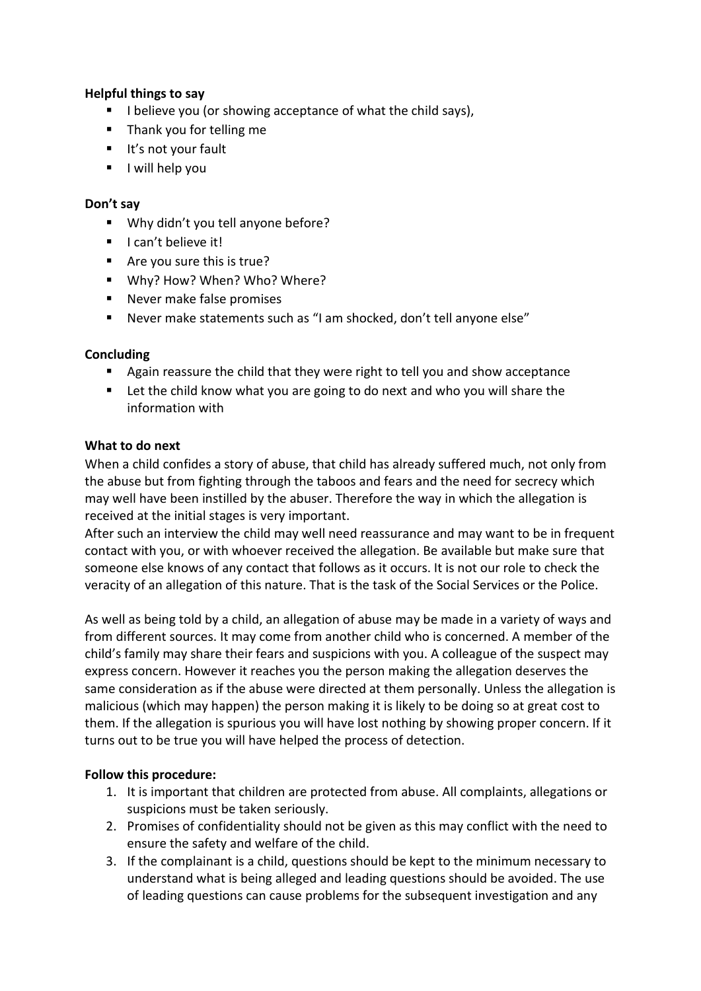#### **Helpful things to say**

- I believe you (or showing acceptance of what the child says),
- Thank you for telling me
- **■** It's not your fault
- I will help you

#### **Don't say**

- Why didn't you tell anyone before?
- I can't believe it!
- Are you sure this is true?
- Why? How? When? Who? Where?
- Never make false promises
- Never make statements such as "I am shocked, don't tell anyone else"

#### **Concluding**

- Again reassure the child that they were right to tell you and show acceptance
- Let the child know what you are going to do next and who you will share the information with

#### **What to do next**

When a child confides a story of abuse, that child has already suffered much, not only from the abuse but from fighting through the taboos and fears and the need for secrecy which may well have been instilled by the abuser. Therefore the way in which the allegation is received at the initial stages is very important.

After such an interview the child may well need reassurance and may want to be in frequent contact with you, or with whoever received the allegation. Be available but make sure that someone else knows of any contact that follows as it occurs. It is not our role to check the veracity of an allegation of this nature. That is the task of the Social Services or the Police.

As well as being told by a child, an allegation of abuse may be made in a variety of ways and from different sources. It may come from another child who is concerned. A member of the child's family may share their fears and suspicions with you. A colleague of the suspect may express concern. However it reaches you the person making the allegation deserves the same consideration as if the abuse were directed at them personally. Unless the allegation is malicious (which may happen) the person making it is likely to be doing so at great cost to them. If the allegation is spurious you will have lost nothing by showing proper concern. If it turns out to be true you will have helped the process of detection.

#### **Follow this procedure:**

- 1. It is important that children are protected from abuse. All complaints, allegations or suspicions must be taken seriously.
- 2. Promises of confidentiality should not be given as this may conflict with the need to ensure the safety and welfare of the child.
- 3. If the complainant is a child, questions should be kept to the minimum necessary to understand what is being alleged and leading questions should be avoided. The use of leading questions can cause problems for the subsequent investigation and any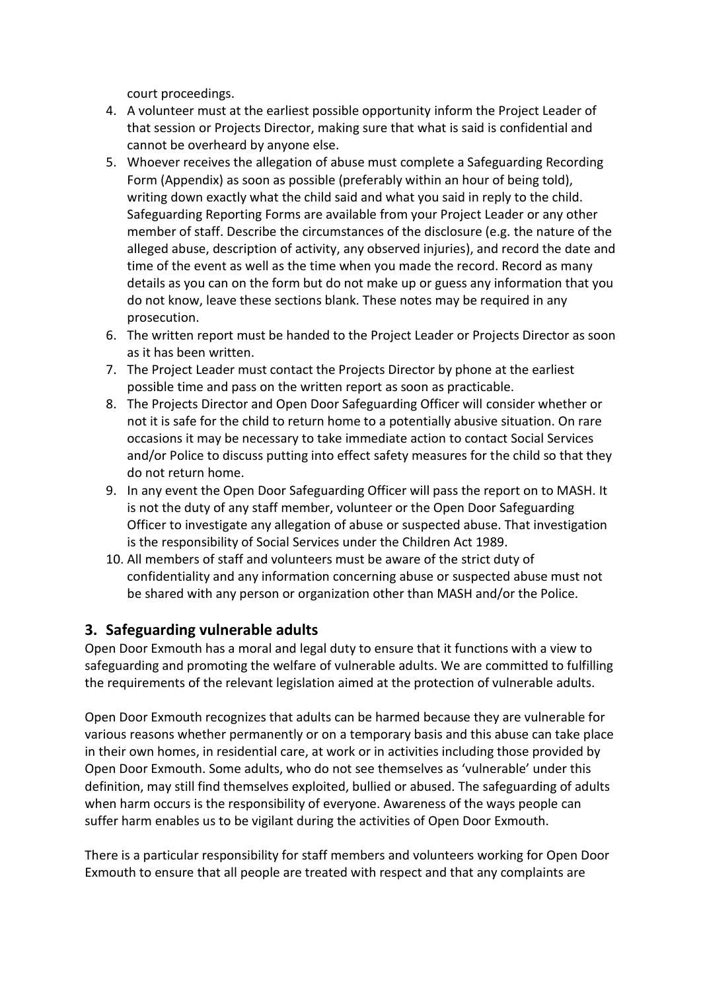court proceedings.

- 4. A volunteer must at the earliest possible opportunity inform the Project Leader of that session or Projects Director, making sure that what is said is confidential and cannot be overheard by anyone else.
- 5. Whoever receives the allegation of abuse must complete a Safeguarding Recording Form (Appendix) as soon as possible (preferably within an hour of being told), writing down exactly what the child said and what you said in reply to the child. Safeguarding Reporting Forms are available from your Project Leader or any other member of staff. Describe the circumstances of the disclosure (e.g. the nature of the alleged abuse, description of activity, any observed injuries), and record the date and time of the event as well as the time when you made the record. Record as many details as you can on the form but do not make up or guess any information that you do not know, leave these sections blank. These notes may be required in any prosecution.
- 6. The written report must be handed to the Project Leader or Projects Director as soon as it has been written.
- 7. The Project Leader must contact the Projects Director by phone at the earliest possible time and pass on the written report as soon as practicable.
- 8. The Projects Director and Open Door Safeguarding Officer will consider whether or not it is safe for the child to return home to a potentially abusive situation. On rare occasions it may be necessary to take immediate action to contact Social Services and/or Police to discuss putting into effect safety measures for the child so that they do not return home.
- 9. In any event the Open Door Safeguarding Officer will pass the report on to MASH. It is not the duty of any staff member, volunteer or the Open Door Safeguarding Officer to investigate any allegation of abuse or suspected abuse. That investigation is the responsibility of Social Services under the Children Act 1989.
- 10. All members of staff and volunteers must be aware of the strict duty of confidentiality and any information concerning abuse or suspected abuse must not be shared with any person or organization other than MASH and/or the Police.

## **3. Safeguarding vulnerable adults**

Open Door Exmouth has a moral and legal duty to ensure that it functions with a view to safeguarding and promoting the welfare of vulnerable adults. We are committed to fulfilling the requirements of the relevant legislation aimed at the protection of vulnerable adults.

Open Door Exmouth recognizes that adults can be harmed because they are vulnerable for various reasons whether permanently or on a temporary basis and this abuse can take place in their own homes, in residential care, at work or in activities including those provided by Open Door Exmouth. Some adults, who do not see themselves as 'vulnerable' under this definition, may still find themselves exploited, bullied or abused. The safeguarding of adults when harm occurs is the responsibility of everyone. Awareness of the ways people can suffer harm enables us to be vigilant during the activities of Open Door Exmouth.

There is a particular responsibility for staff members and volunteers working for Open Door Exmouth to ensure that all people are treated with respect and that any complaints are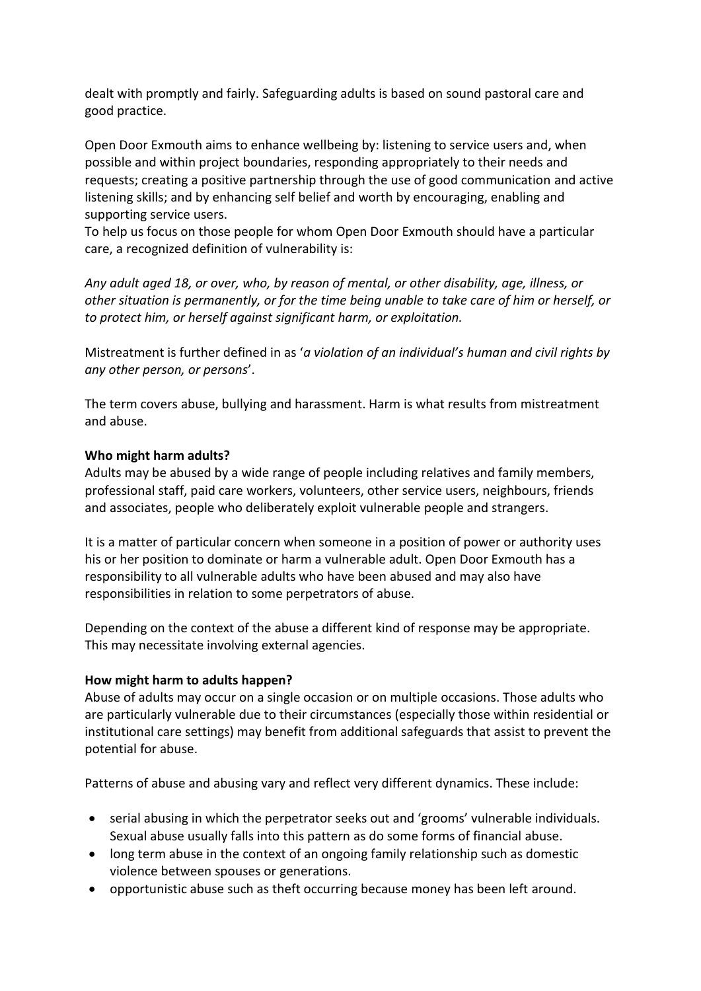dealt with promptly and fairly. Safeguarding adults is based on sound pastoral care and good practice.

Open Door Exmouth aims to enhance wellbeing by: listening to service users and, when possible and within project boundaries, responding appropriately to their needs and requests; creating a positive partnership through the use of good communication and active listening skills; and by enhancing self belief and worth by encouraging, enabling and supporting service users.

To help us focus on those people for whom Open Door Exmouth should have a particular care, a recognized definition of vulnerability is:

*Any adult aged 18, or over, who, by reason of mental, or other disability, age, illness, or other situation is permanently, or for the time being unable to take care of him or herself, or to protect him, or herself against significant harm, or exploitation.* 

Mistreatment is further defined in as '*a violation of an individual's human and civil rights by any other person, or persons*'.

The term covers abuse, bullying and harassment. Harm is what results from mistreatment and abuse.

#### **Who might harm adults?**

Adults may be abused by a wide range of people including relatives and family members, professional staff, paid care workers, volunteers, other service users, neighbours, friends and associates, people who deliberately exploit vulnerable people and strangers.

It is a matter of particular concern when someone in a position of power or authority uses his or her position to dominate or harm a vulnerable adult. Open Door Exmouth has a responsibility to all vulnerable adults who have been abused and may also have responsibilities in relation to some perpetrators of abuse.

Depending on the context of the abuse a different kind of response may be appropriate. This may necessitate involving external agencies.

#### **How might harm to adults happen?**

Abuse of adults may occur on a single occasion or on multiple occasions. Those adults who are particularly vulnerable due to their circumstances (especially those within residential or institutional care settings) may benefit from additional safeguards that assist to prevent the potential for abuse.

Patterns of abuse and abusing vary and reflect very different dynamics. These include:

- serial abusing in which the perpetrator seeks out and 'grooms' vulnerable individuals. Sexual abuse usually falls into this pattern as do some forms of financial abuse.
- long term abuse in the context of an ongoing family relationship such as domestic violence between spouses or generations.
- opportunistic abuse such as theft occurring because money has been left around.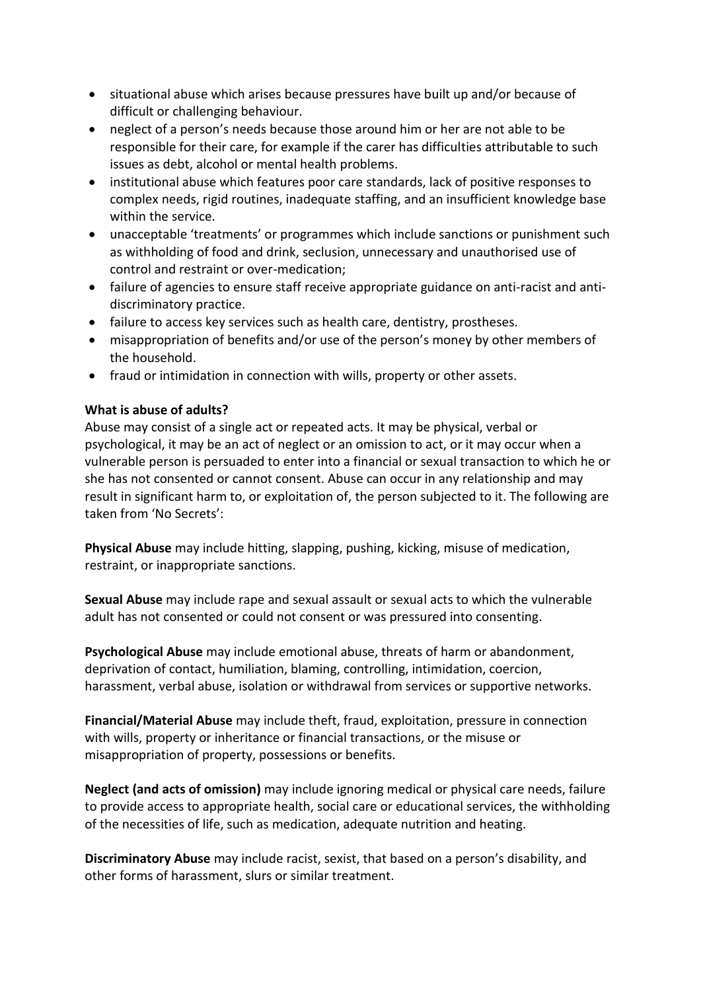- situational abuse which arises because pressures have built up and/or because of difficult or challenging behaviour.
- neglect of a person's needs because those around him or her are not able to be responsible for their care, for example if the carer has difficulties attributable to such issues as debt, alcohol or mental health problems.
- institutional abuse which features poor care standards, lack of positive responses to complex needs, rigid routines, inadequate staffing, and an insufficient knowledge base within the service.
- unacceptable 'treatments' or programmes which include sanctions or punishment such as withholding of food and drink, seclusion, unnecessary and unauthorised use of control and restraint or over-medication;
- failure of agencies to ensure staff receive appropriate guidance on anti-racist and antidiscriminatory practice.
- failure to access key services such as health care, dentistry, prostheses.
- misappropriation of benefits and/or use of the person's money by other members of the household.
- fraud or intimidation in connection with wills, property or other assets.

#### **What is abuse of adults?**

Abuse may consist of a single act or repeated acts. It may be physical, verbal or psychological, it may be an act of neglect or an omission to act, or it may occur when a vulnerable person is persuaded to enter into a financial or sexual transaction to which he or she has not consented or cannot consent. Abuse can occur in any relationship and may result in significant harm to, or exploitation of, the person subjected to it. The following are taken from 'No Secrets':

**Physical Abuse** may include hitting, slapping, pushing, kicking, misuse of medication, restraint, or inappropriate sanctions.

**Sexual Abuse** may include rape and sexual assault or sexual acts to which the vulnerable adult has not consented or could not consent or was pressured into consenting.

**Psychological Abuse** may include emotional abuse, threats of harm or abandonment, deprivation of contact, humiliation, blaming, controlling, intimidation, coercion, harassment, verbal abuse, isolation or withdrawal from services or supportive networks.

**Financial/Material Abuse** may include theft, fraud, exploitation, pressure in connection with wills, property or inheritance or financial transactions, or the misuse or misappropriation of property, possessions or benefits.

**Neglect (and acts of omission)** may include ignoring medical or physical care needs, failure to provide access to appropriate health, social care or educational services, the withholding of the necessities of life, such as medication, adequate nutrition and heating.

**Discriminatory Abuse** may include racist, sexist, that based on a person's disability, and other forms of harassment, slurs or similar treatment.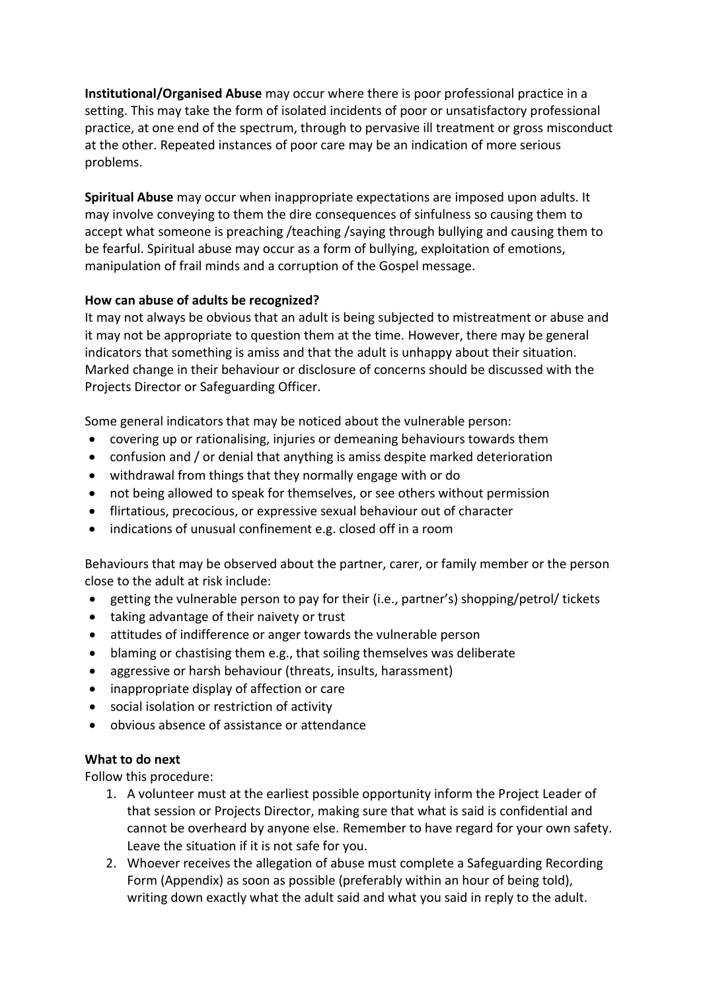**Institutional/Organised Abuse** may occur where there is poor professional practice in a setting. This may take the form of isolated incidents of poor or unsatisfactory professional practice, at one end of the spectrum, through to pervasive ill treatment or gross misconduct at the other. Repeated instances of poor care may be an indication of more serious problems.

**Spiritual Abuse** may occur when inappropriate expectations are imposed upon adults. It may involve conveying to them the dire consequences of sinfulness so causing them to accept what someone is preaching /teaching /saying through bullying and causing them to be fearful. Spiritual abuse may occur as a form of bullying, exploitation of emotions, manipulation of frail minds and a corruption of the Gospel message.

#### **How can abuse of adults be recognized?**

It may not always be obvious that an adult is being subjected to mistreatment or abuse and it may not be appropriate to question them at the time. However, there may be general indicators that something is amiss and that the adult is unhappy about their situation. Marked change in their behaviour or disclosure of concerns should be discussed with the Projects Director or Safeguarding Officer.

Some general indicators that may be noticed about the vulnerable person:

- covering up or rationalising, injuries or demeaning behaviours towards them
- confusion and / or denial that anything is amiss despite marked deterioration
- withdrawal from things that they normally engage with or do
- not being allowed to speak for themselves, or see others without permission
- flirtatious, precocious, or expressive sexual behaviour out of character
- indications of unusual confinement e.g. closed off in a room

Behaviours that may be observed about the partner, carer, or family member or the person close to the adult at risk include:

- getting the vulnerable person to pay for their (i.e., partner's) shopping/petrol/ tickets
- taking advantage of their naivety or trust
- attitudes of indifference or anger towards the vulnerable person
- blaming or chastising them e.g., that soiling themselves was deliberate
- aggressive or harsh behaviour (threats, insults, harassment)
- inappropriate display of affection or care
- social isolation or restriction of activity
- obvious absence of assistance or attendance

#### **What to do next**

Follow this procedure:

- 1. A volunteer must at the earliest possible opportunity inform the Project Leader of that session or Projects Director, making sure that what is said is confidential and cannot be overheard by anyone else. Remember to have regard for your own safety. Leave the situation if it is not safe for you.
- 2. Whoever receives the allegation of abuse must complete a Safeguarding Recording Form (Appendix) as soon as possible (preferably within an hour of being told), writing down exactly what the adult said and what you said in reply to the adult.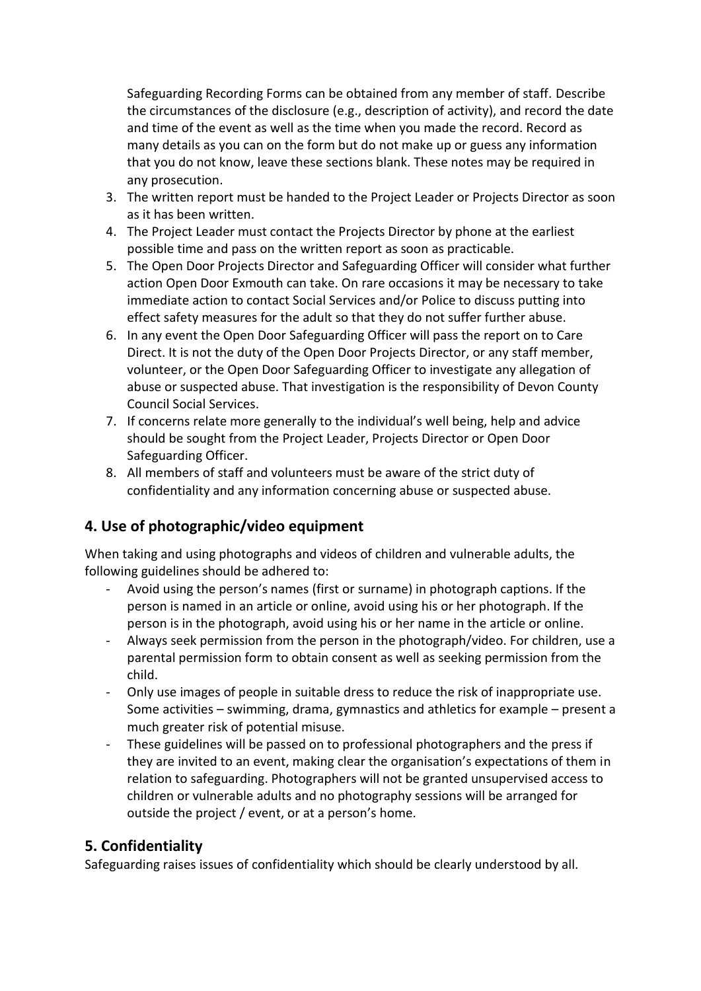Safeguarding Recording Forms can be obtained from any member of staff. Describe the circumstances of the disclosure (e.g., description of activity), and record the date and time of the event as well as the time when you made the record. Record as many details as you can on the form but do not make up or guess any information that you do not know, leave these sections blank. These notes may be required in any prosecution.

- 3. The written report must be handed to the Project Leader or Projects Director as soon as it has been written.
- 4. The Project Leader must contact the Projects Director by phone at the earliest possible time and pass on the written report as soon as practicable.
- 5. The Open Door Projects Director and Safeguarding Officer will consider what further action Open Door Exmouth can take. On rare occasions it may be necessary to take immediate action to contact Social Services and/or Police to discuss putting into effect safety measures for the adult so that they do not suffer further abuse.
- 6. In any event the Open Door Safeguarding Officer will pass the report on to Care Direct. It is not the duty of the Open Door Projects Director, or any staff member, volunteer, or the Open Door Safeguarding Officer to investigate any allegation of abuse or suspected abuse. That investigation is the responsibility of Devon County Council Social Services.
- 7. If concerns relate more generally to the individual's well being, help and advice should be sought from the Project Leader, Projects Director or Open Door Safeguarding Officer.
- 8. All members of staff and volunteers must be aware of the strict duty of confidentiality and any information concerning abuse or suspected abuse.

## **4. Use of photographic/video equipment**

When taking and using photographs and videos of children and vulnerable adults, the following guidelines should be adhered to:

- Avoid using the person's names (first or surname) in photograph captions. If the person is named in an article or online, avoid using his or her photograph. If the person is in the photograph, avoid using his or her name in the article or online.
- Always seek permission from the person in the photograph/video. For children, use a parental permission form to obtain consent as well as seeking permission from the child.
- Only use images of people in suitable dress to reduce the risk of inappropriate use. Some activities – swimming, drama, gymnastics and athletics for example – present a much greater risk of potential misuse.
- These guidelines will be passed on to professional photographers and the press if they are invited to an event, making clear the organisation's expectations of them in relation to safeguarding. Photographers will not be granted unsupervised access to children or vulnerable adults and no photography sessions will be arranged for outside the project / event, or at a person's home.

## **5. Confidentiality**

Safeguarding raises issues of confidentiality which should be clearly understood by all.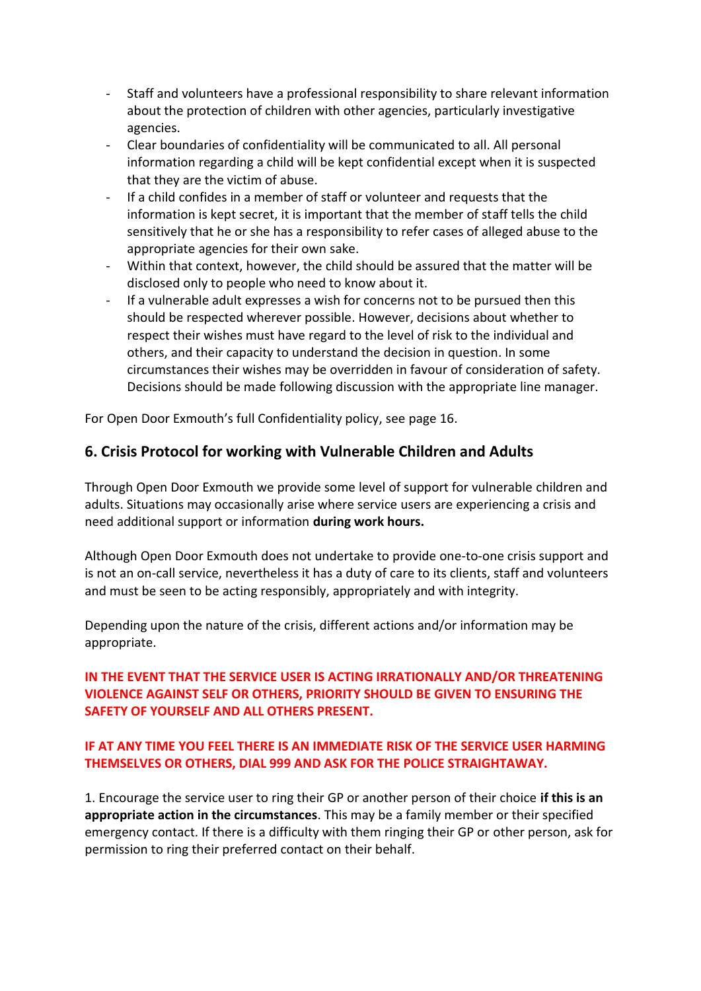- Staff and volunteers have a professional responsibility to share relevant information about the protection of children with other agencies, particularly investigative agencies.
- Clear boundaries of confidentiality will be communicated to all. All personal information regarding a child will be kept confidential except when it is suspected that they are the victim of abuse.
- If a child confides in a member of staff or volunteer and requests that the information is kept secret, it is important that the member of staff tells the child sensitively that he or she has a responsibility to refer cases of alleged abuse to the appropriate agencies for their own sake.
- Within that context, however, the child should be assured that the matter will be disclosed only to people who need to know about it.
- If a vulnerable adult expresses a wish for concerns not to be pursued then this should be respected wherever possible. However, decisions about whether to respect their wishes must have regard to the level of risk to the individual and others, and their capacity to understand the decision in question. In some circumstances their wishes may be overridden in favour of consideration of safety. Decisions should be made following discussion with the appropriate line manager.

For Open Door Exmouth's full Confidentiality policy, see page 16.

## **6. Crisis Protocol for working with Vulnerable Children and Adults**

Through Open Door Exmouth we provide some level of support for vulnerable children and adults. Situations may occasionally arise where service users are experiencing a crisis and need additional support or information **during work hours.** 

Although Open Door Exmouth does not undertake to provide one-to-one crisis support and is not an on-call service, nevertheless it has a duty of care to its clients, staff and volunteers and must be seen to be acting responsibly, appropriately and with integrity.

Depending upon the nature of the crisis, different actions and/or information may be appropriate.

#### **IN THE EVENT THAT THE SERVICE USER IS ACTING IRRATIONALLY AND/OR THREATENING VIOLENCE AGAINST SELF OR OTHERS, PRIORITY SHOULD BE GIVEN TO ENSURING THE SAFETY OF YOURSELF AND ALL OTHERS PRESENT.**

#### **IF AT ANY TIME YOU FEEL THERE IS AN IMMEDIATE RISK OF THE SERVICE USER HARMING THEMSELVES OR OTHERS, DIAL 999 AND ASK FOR THE POLICE STRAIGHTAWAY.**

1. Encourage the service user to ring their GP or another person of their choice **if this is an appropriate action in the circumstances**. This may be a family member or their specified emergency contact. If there is a difficulty with them ringing their GP or other person, ask for permission to ring their preferred contact on their behalf.